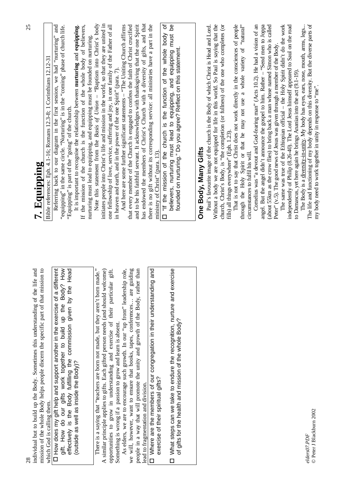| 28                                                                                                                                                                                                                                                                                                                  | 25                                                                                                                                                                                                                                                                                                                                     |
|---------------------------------------------------------------------------------------------------------------------------------------------------------------------------------------------------------------------------------------------------------------------------------------------------------------------|----------------------------------------------------------------------------------------------------------------------------------------------------------------------------------------------------------------------------------------------------------------------------------------------------------------------------------------|
| $\frac{1}{10}$<br>and<br>individual but to build up the Body. Sometimes this understanding of the life<br>mission of the whole Body helps people discern the specific part of that missio                                                                                                                           | 7. Equipping                                                                                                                                                                                                                                                                                                                           |
| which God is calling them.                                                                                                                                                                                                                                                                                          | Bible references: Eph. 4.1-16; Romans 12.3-8; 1 Corinthians 12.12-31                                                                                                                                                                                                                                                                   |
| D How does my gift help and support another in the exercise of a different<br>gift. How do our gifts work together to build up the Body? How<br>effectively is the Body fulfilling the commission given by the Head<br>(outside as well as inside the Body)?                                                        | Referring back to our diagram in the first session, we had "nurturing" and "equipping" in the same circle. "Nurturing" is in the "coming" phase of church life.<br>It is important to recognise the relationship between nurturing and equipping.<br>"Equipping" is part of the "going" of the church.                                 |
|                                                                                                                                                                                                                                                                                                                     | If the mission of the church is the function of the whole body of believers,<br>nurturing must lead to equipping, and equipping must be founded on nurturing.                                                                                                                                                                          |
| There is a saying that "teachers are born not made, but they aren't born made."<br>gift.<br>A similar principle applies to gifts. Each gifted person needs (and should welcome)<br>opportunities to grow in understanding and exercise of their particular                                                          | initiates people into Christ's life and mission in the world, so that they are united in<br>Note this statement from the Basis of Union - "Baptism into Christ's body<br>one fellowship of love, service, suffering and joy, in one family of the Father of all<br>in heaven and earth, and in the power of the one Spirit" (para. 7). |
| we will, however, want to ensure that books, tapes, conferences are guiding<br>than<br>As elders, we are to encourage such growth. In our "up front" leadership role,<br>people in a way that will promote the unity and growth of the Body, rather<br>Something is wrong if a passion to grow and learn is absent. | And here are some further significant statements - "The Uniting Church affirms<br>and to be his faithful servant. It acknowledges with thanksgiving that the one Spirit<br>that every member of the Church is engaged to confess the faith of Christ crucified                                                                         |
| and<br>D Where are the members of our congregation in their understanding<br>lead to fragmentation and division.                                                                                                                                                                                                    | has endowed the members of Christ's Church with a diversity of gifts, and that<br>there is no gift without its corresponding service: all ministries have a part in the                                                                                                                                                                |
| exercise of their spiritual gifts?                                                                                                                                                                                                                                                                                  | □ "If the mission of the church is the function of the whole body of<br>ministry of Christ" (para. 13).                                                                                                                                                                                                                                |
| What steps can we take to endure the recognition, nurture and exercise<br>of gifts for the health and mission of the whole Body?<br>$\Box$                                                                                                                                                                          | believers, nurturing must lead to equipping, and equipping must be<br>founded on nurturing." Do you agree? Reflect on this statement.                                                                                                                                                                                                  |
|                                                                                                                                                                                                                                                                                                                     |                                                                                                                                                                                                                                                                                                                                        |
|                                                                                                                                                                                                                                                                                                                     | One Body, Many Gifts                                                                                                                                                                                                                                                                                                                   |
|                                                                                                                                                                                                                                                                                                                     | Without a body we are not equipped for life in this world. So Paul is saying that the<br>Paul's favourite image of the church is the Body of which Christ is Head and Lord.                                                                                                                                                            |
|                                                                                                                                                                                                                                                                                                                     | church, Christ's Body, is "the completion (or fullness) of the one who completes (or                                                                                                                                                                                                                                                   |
|                                                                                                                                                                                                                                                                                                                     | fills) all things everywhere" (Eph. 1.23).                                                                                                                                                                                                                                                                                             |
|                                                                                                                                                                                                                                                                                                                     | That is not to say that Christ does not work directly in the consciences of people<br>through the Holy Spirit or that he may not use a whole variety of "natural"                                                                                                                                                                      |
|                                                                                                                                                                                                                                                                                                                     | circumstances to fulfil his will.                                                                                                                                                                                                                                                                                                      |
|                                                                                                                                                                                                                                                                                                                     | Cornelius was "a devout and God-fearing man" (Acts 10.2). He had a vision of an<br>angel. But the angel didn't announce the gospel to him. Rather - "Send men to Joppa                                                                                                                                                                 |
|                                                                                                                                                                                                                                                                                                                     | (about 55km as the crow flies) to bring back a man whose named Simon who is called                                                                                                                                                                                                                                                     |
|                                                                                                                                                                                                                                                                                                                     | Peter" (v.5). The good news of Jesus was given through a member of the Body.                                                                                                                                                                                                                                                           |
|                                                                                                                                                                                                                                                                                                                     | The same was true of the Ethiopian official - the Holy Spirit didn't do the work                                                                                                                                                                                                                                                       |
|                                                                                                                                                                                                                                                                                                                     | independently of Philip (8.26-40). The Lord Jesus himself appeared to Saul on the road                                                                                                                                                                                                                                                 |
|                                                                                                                                                                                                                                                                                                                     | The Body is a diversity-in-unity. My body has eyes, ears, nose, mouth, arms, legs<br>to Damascus, yet here again he brings Ananias into the act (9.1-19).                                                                                                                                                                              |
| elders07.PDF                                                                                                                                                                                                                                                                                                        | The life and functioning of my body depends on this diversity. But the diverse parts of                                                                                                                                                                                                                                                |
| © Peter J Blackburn 2002                                                                                                                                                                                                                                                                                            | my body need to work together in unity in response to "me".                                                                                                                                                                                                                                                                            |

25